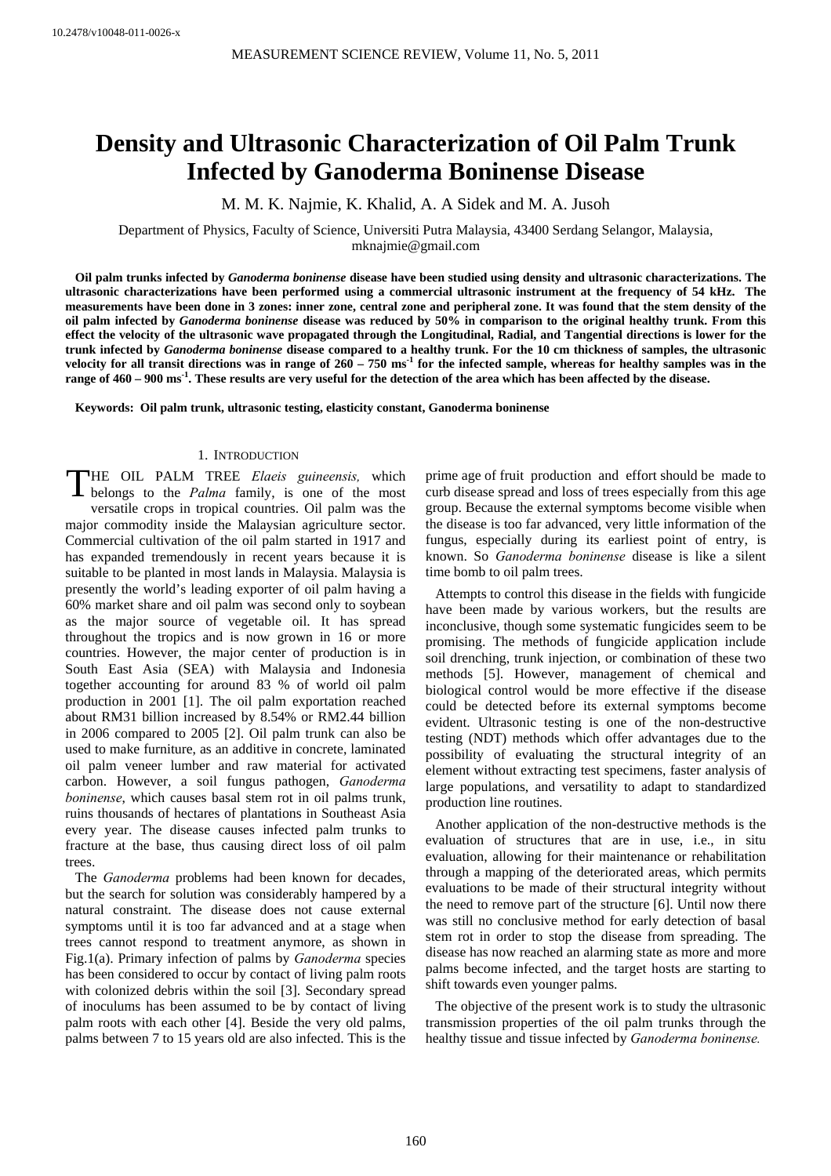# **Density and Ultrasonic Characterization of Oil Palm Trunk Infected by Ganoderma Boninense Disease**

M. M. K. Najmie, K. Khalid, A. A Sidek and M. A. Jusoh

Department of Physics, Faculty of Science, Universiti Putra Malaysia, 43400 Serdang Selangor, Malaysia, mknajmie@gmail.com

**Oil palm trunks infected by** *Ganoderma boninense* **disease have been studied using density and ultrasonic characterizations. The ultrasonic characterizations have been performed using a commercial ultrasonic instrument at the frequency of 54 kHz. The measurements have been done in 3 zones: inner zone, central zone and peripheral zone. It was found that the stem density of the oil palm infected by** *Ganoderma boninense* **disease was reduced by 50% in comparison to the original healthy trunk. From this effect the velocity of the ultrasonic wave propagated through the Longitudinal, Radial, and Tangential directions is lower for the trunk infected by** *Ganoderma boninense* **disease compared to a healthy trunk. For the 10 cm thickness of samples, the ultrasonic**  velocity for all transit directions was in range of  $260 - 750 \text{ ms}^{-1}$  for the infected sample, whereas for healthy samples was in the **range of 460 – 900 ms-1. These results are very useful for the detection of the area which has been affected by the disease.**

**Keywords: Oil palm trunk, ultrasonic testing, elasticity constant, Ganoderma boninense** 

## 1. INTRODUCTION

HE OIL PALM TREE *Elaeis guineensis,* which THE OIL PALM TREE Elaeis guineensis, which belongs to the *Palma* family, is one of the most versatile crops in tropical countries. Oil palm was the major commodity inside the Malaysian agriculture sector. Commercial cultivation of the oil palm started in 1917 and has expanded tremendously in recent years because it is suitable to be planted in most lands in Malaysia. Malaysia is presently the world's leading exporter of oil palm having a 60% market share and oil palm was second only to soybean as the major source of vegetable oil. It has spread throughout the tropics and is now grown in 16 or more countries. However, the major center of production is in South East Asia (SEA) with Malaysia and Indonesia together accounting for around 83 % of world oil palm production in 2001 [1]. The oil palm exportation reached about RM31 billion increased by 8.54% or RM2.44 billion in 2006 compared to 2005 [2]. Oil palm trunk can also be used to make furniture, as an additive in concrete, laminated oil palm veneer lumber and raw material for activated carbon. However, a soil fungus pathogen, *Ganoderma boninense*, which causes basal stem rot in oil palms trunk, ruins thousands of hectares of plantations in Southeast Asia every year. The disease causes infected palm trunks to fracture at the base, thus causing direct loss of oil palm trees.

The *Ganoderma* problems had been known for decades, but the search for solution was considerably hampered by a natural constraint. The disease does not cause external symptoms until it is too far advanced and at a stage when trees cannot respond to treatment anymore, as shown in Fig.1(a). Primary infection of palms by *Ganoderma* species has been considered to occur by contact of living palm roots with colonized debris within the soil [3]. Secondary spread of inoculums has been assumed to be by contact of living palm roots with each other [4]. Beside the very old palms, palms between 7 to 15 years old are also infected. This is the prime age of fruit production and effort should be made to curb disease spread and loss of trees especially from this age group. Because the external symptoms become visible when the disease is too far advanced, very little information of the fungus, especially during its earliest point of entry, is known. So *Ganoderma boninense* disease is like a silent time bomb to oil palm trees.

Attempts to control this disease in the fields with fungicide have been made by various workers, but the results are inconclusive, though some systematic fungicides seem to be promising. The methods of fungicide application include soil drenching, trunk injection, or combination of these two methods [5]. However, management of chemical and biological control would be more effective if the disease could be detected before its external symptoms become evident. Ultrasonic testing is one of the non-destructive testing (NDT) methods which offer advantages due to the possibility of evaluating the structural integrity of an element without extracting test specimens, faster analysis of large populations, and versatility to adapt to standardized production line routines.

Another application of the non-destructive methods is the evaluation of structures that are in use, i.e., in situ evaluation, allowing for their maintenance or rehabilitation through a mapping of the deteriorated areas, which permits evaluations to be made of their structural integrity without the need to remove part of the structure [6]. Until now there was still no conclusive method for early detection of basal stem rot in order to stop the disease from spreading. The disease has now reached an alarming state as more and more palms become infected, and the target hosts are starting to shift towards even younger palms.

The objective of the present work is to study the ultrasonic transmission properties of the oil palm trunks through the healthy tissue and tissue infected by *Ganoderma boninense.*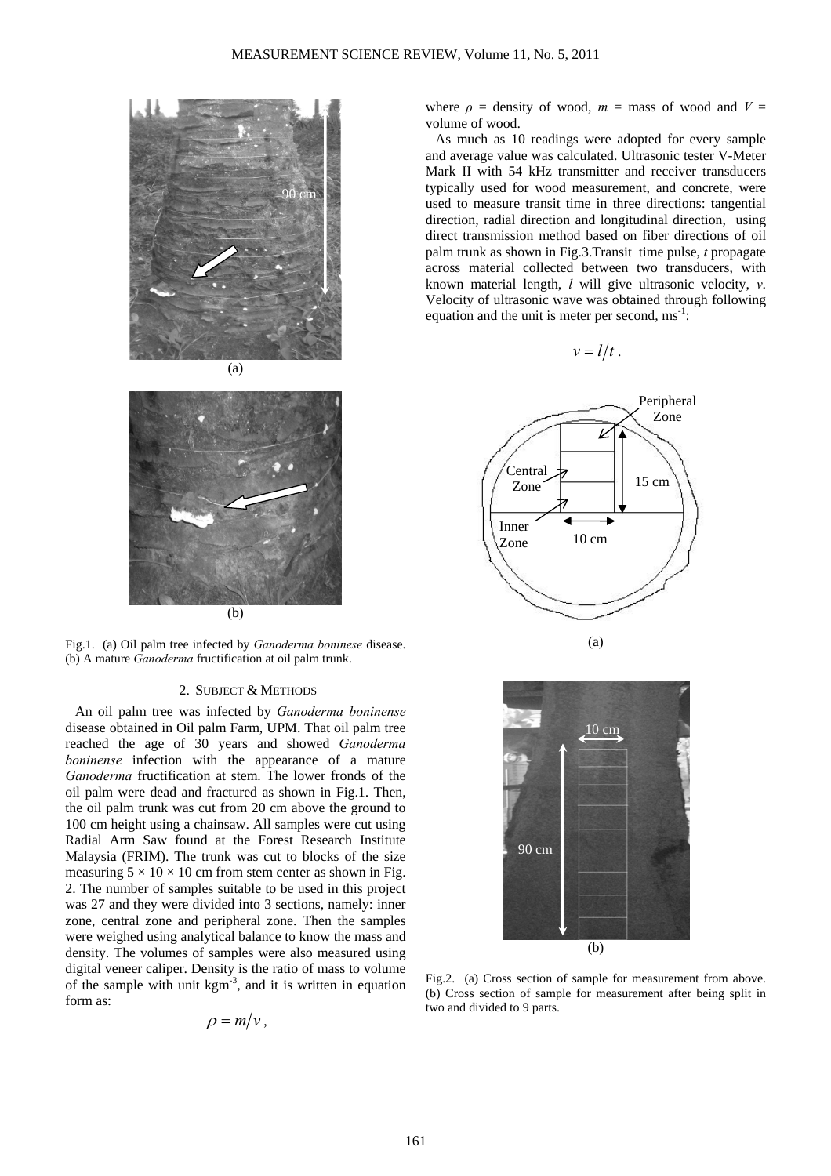



Fig.1. (a) Oil palm tree infected by *Ganoderma boninese* disease. (b) A mature *Ganoderma* fructification at oil palm trunk.

#### 2. SUBJECT & METHODS

An oil palm tree was infected by *Ganoderma boninense* disease obtained in Oil palm Farm, UPM. That oil palm tree reached the age of 30 years and showed *Ganoderma boninense* infection with the appearance of a mature *Ganoderma* fructification at stem. The lower fronds of the oil palm were dead and fractured as shown in Fig.1. Then, the oil palm trunk was cut from 20 cm above the ground to 100 cm height using a chainsaw. All samples were cut using Radial Arm Saw found at the Forest Research Institute Malaysia (FRIM). The trunk was cut to blocks of the size measuring  $5 \times 10 \times 10$  cm from stem center as shown in Fig. 2. The number of samples suitable to be used in this project was 27 and they were divided into 3 sections, namely: inner zone, central zone and peripheral zone. Then the samples were weighed using analytical balance to know the mass and density. The volumes of samples were also measured using digital veneer caliper. Density is the ratio of mass to volume of the sample with unit  $kgm^{-3}$ , and it is written in equation form as:

$$
\rho = m/v,
$$

where  $\rho$  = density of wood,  $m =$  mass of wood and  $V =$ volume of wood.

As much as 10 readings were adopted for every sample and average value was calculated. Ultrasonic tester V-Meter Mark II with 54 kHz transmitter and receiver transducers typically used for wood measurement, and concrete, were used to measure transit time in three directions: tangential direction, radial direction and longitudinal direction, using direct transmission method based on fiber directions of oil palm trunk as shown in Fig.3.Transit time pulse, *t* propagate across material collected between two transducers, with known material length, *l* will give ultrasonic velocity, *v*. Velocity of ultrasonic wave was obtained through following equation and the unit is meter per second,  $ms^{-1}$ :

$$
v=l/t.
$$



Fig.2. (a) Cross section of sample for measurement from above. (b) Cross section of sample for measurement after being split in two and divided to 9 parts.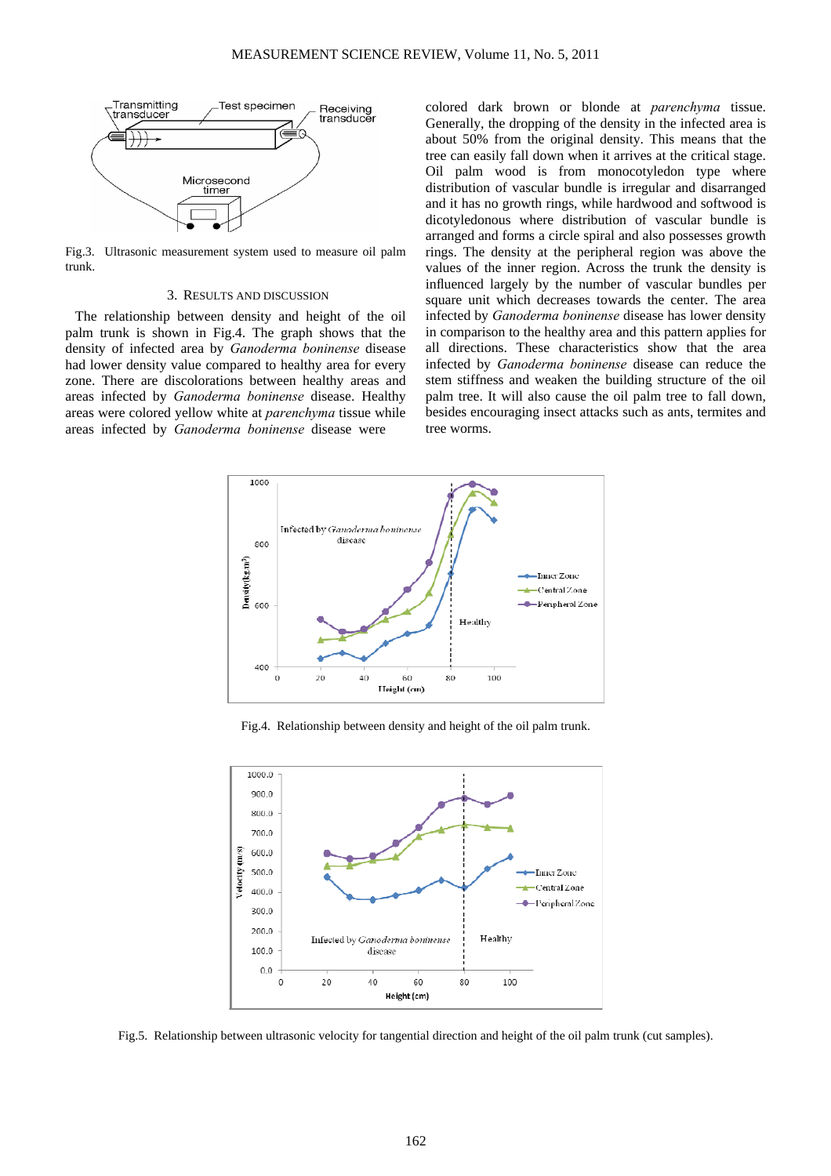

Fig.3. Ultrasonic measurement system used to measure oil palm trunk.

### 3. RESULTS AND DISCUSSION

The relationship between density and height of the oil palm trunk is shown in Fig.4. The graph shows that the density of infected area by *Ganoderma boninense* disease had lower density value compared to healthy area for every zone. There are discolorations between healthy areas and areas infected by *Ganoderma boninense* disease. Healthy areas were colored yellow white at *parenchyma* tissue while areas infected by *Ganoderma boninense* disease were

colored dark brown or blonde at *parenchyma* tissue. Generally, the dropping of the density in the infected area is about 50% from the original density. This means that the tree can easily fall down when it arrives at the critical stage. Oil palm wood is from monocotyledon type where distribution of vascular bundle is irregular and disarranged and it has no growth rings, while hardwood and softwood is dicotyledonous where distribution of vascular bundle is arranged and forms a circle spiral and also possesses growth rings. The density at the peripheral region was above the values of the inner region. Across the trunk the density is influenced largely by the number of vascular bundles per square unit which decreases towards the center. The area infected by *Ganoderma boninense* disease has lower density in comparison to the healthy area and this pattern applies for all directions. These characteristics show that the area infected by *Ganoderma boninense* disease can reduce the stem stiffness and weaken the building structure of the oil palm tree. It will also cause the oil palm tree to fall down, besides encouraging insect attacks such as ants, termites and tree worms.



Fig.4. Relationship between density and height of the oil palm trunk.



Fig.5. Relationship between ultrasonic velocity for tangential direction and height of the oil palm trunk (cut samples).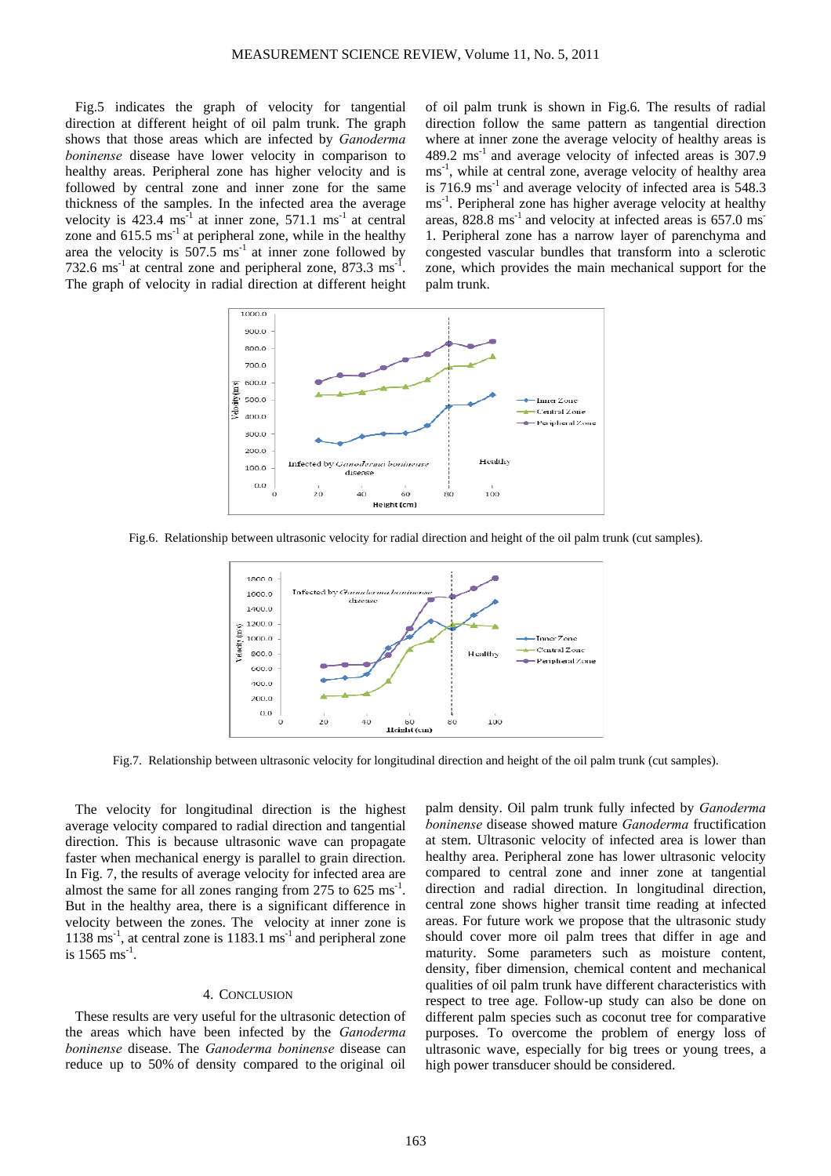Fig.5 indicates the graph of velocity for tangential direction at different height of oil palm trunk. The graph shows that those areas which are infected by *Ganoderma boninense* disease have lower velocity in comparison to healthy areas. Peripheral zone has higher velocity and is followed by central zone and inner zone for the same thickness of the samples. In the infected area the average velocity is  $423.4 \text{ ms}^{-1}$  at inner zone,  $571.1 \text{ ms}^{-1}$  at central zone and  $615.5 \text{ ms}^{-1}$  at peripheral zone, while in the healthy area the velocity is  $507.5 \text{ ms}^{-1}$  at inner zone followed by 732.6 ms<sup>-1</sup> at central zone and peripheral zone,  $873.3 \text{ ms}^{-1}$ . The graph of velocity in radial direction at different height

of oil palm trunk is shown in Fig.6. The results of radial direction follow the same pattern as tangential direction where at inner zone the average velocity of healthy areas is 489.2 ms<sup>-1</sup> and average velocity of infected areas is 307.9 ms<sup>-1</sup>, while at central zone, average velocity of healthy area is 716.9  $\text{ms}^{-1}$  and average velocity of infected area is 548.3 ms<sup>-1</sup>. Peripheral zone has higher average velocity at healthy areas,  $828.8 \text{ ms}^{-1}$  and velocity at infected areas is 657.0 ms 1. Peripheral zone has a narrow layer of parenchyma and congested vascular bundles that transform into a sclerotic zone, which provides the main mechanical support for the palm trunk.







Fig.7. Relationship between ultrasonic velocity for longitudinal direction and height of the oil palm trunk (cut samples).

The velocity for longitudinal direction is the highest average velocity compared to radial direction and tangential direction. This is because ultrasonic wave can propagate faster when mechanical energy is parallel to grain direction. In Fig. 7, the results of average velocity for infected area are almost the same for all zones ranging from  $275$  to  $625 \text{ ms}^{-1}$ . But in the healthy area, there is a significant difference in velocity between the zones. The velocity at inner zone is  $1138 \text{ ms}^{-1}$ , at central zone is  $1183.1 \text{ ms}^{-1}$  and peripheral zone is  $1565 \text{ ms}^{-1}$ .

#### 4. CONCLUSION

These results are very useful for the ultrasonic detection of the areas which have been infected by the *Ganoderma boninense* disease. The *Ganoderma boninense* disease can reduce up to 50% of density compared to the original oil palm density. Oil palm trunk fully infected by *Ganoderma boninense* disease showed mature *Ganoderma* fructification at stem. Ultrasonic velocity of infected area is lower than healthy area. Peripheral zone has lower ultrasonic velocity compared to central zone and inner zone at tangential direction and radial direction. In longitudinal direction, central zone shows higher transit time reading at infected areas. For future work we propose that the ultrasonic study should cover more oil palm trees that differ in age and maturity. Some parameters such as moisture content, density, fiber dimension, chemical content and mechanical qualities of oil palm trunk have different characteristics with respect to tree age. Follow-up study can also be done on different palm species such as coconut tree for comparative purposes. To overcome the problem of energy loss of ultrasonic wave, especially for big trees or young trees, a high power transducer should be considered.